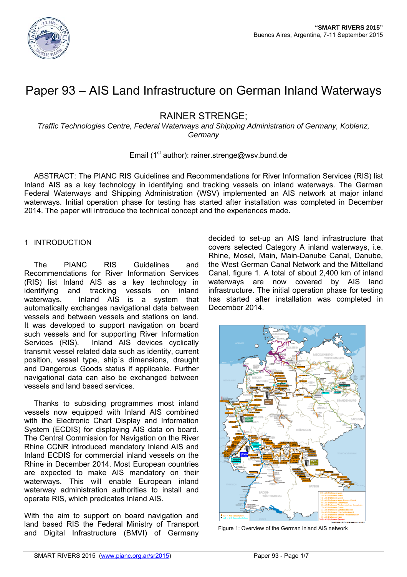

# Paper 93 – AIS Land Infrastructure on German Inland Waterways

# RAINER STRENGE;

*Traffic Technologies Centre, Federal Waterways and Shipping Administration of Germany, Koblenz, Germany* 

# Email (1<sup>st</sup> author): rainer.strenge@wsv.bund.de

ABSTRACT: The PIANC RIS Guidelines and Recommendations for River Information Services (RIS) list Inland AIS as a key technology in identifying and tracking vessels on inland waterways. The German Federal Waterways and Shipping Administration (WSV) implemented an AIS network at major inland waterways. Initial operation phase for testing has started after installation was completed in December 2014. The paper will introduce the technical concept and the experiences made.

# 1 INTRODUCTION

The PIANC RIS Guidelines and Recommendations for River Information Services (RIS) list Inland AIS as a key technology in identifying and tracking vessels on inland waterways. Inland AIS is a system that automatically exchanges navigational data between vessels and between vessels and stations on land. It was developed to support navigation on board such vessels and for supporting River Information Services (RIS). Inland AIS devices cyclically transmit vessel related data such as identity, current position, vessel type, ship´s dimensions, draught and Dangerous Goods status if applicable. Further navigational data can also be exchanged between vessels and land based services.

Thanks to subsiding programmes most inland vessels now equipped with Inland AIS combined with the Electronic Chart Display and Information System (ECDIS) for displaying AIS data on board. The Central Commission for Navigation on the River Rhine CCNR introduced mandatory Inland AIS and Inland ECDIS for commercial inland vessels on the Rhine in December 2014. Most European countries are expected to make AIS mandatory on their waterways. This will enable European inland waterway administration authorities to install and operate RIS, which predicates Inland AIS.

With the aim to support on board navigation and land based RIS the Federal Ministry of Transport and Digital Infrastructure (BMVI) of Germany

decided to set-up an AIS land infrastructure that covers selected Category A inland waterways, i.e. Rhine, Mosel, Main, Main-Danube Canal, Danube, the West German Canal Network and the Mittelland Canal, figure 1. A total of about 2,400 km of inland waterways are now covered by AIS land infrastructure. The initial operation phase for testing has started after installation was completed in December 2014.



Figure 1: Overview of the German inland AIS network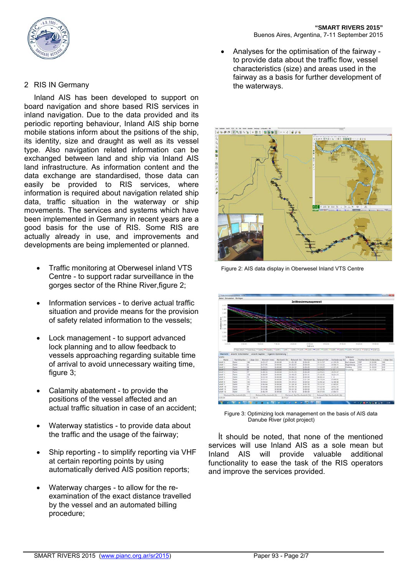



# 2 RIS IN Germany

Inland AIS has been developed to support on board navigation and shore based RIS services in inland navigation. Due to the data provided and its periodic reporting behaviour, Inland AIS ship borne mobile stations inform about the psitions of the ship, its identity, size and draught as well as its vessel type. Also navigation related information can be exchanged between land and ship via Inland AIS land infrastructure. As information content and the data exchange are standardised, those data can easily be provided to RIS services, where information is required about navigation related ship data, traffic situation in the waterway or ship movements. The services and systems which have been implemented in Germany in recent years are a good basis for the use of RIS. Some RIS are actually already in use, and improvements and developments are being implemented or planned.

- Traffic monitoring at Oberwesel inland VTS Centre - to support radar surveillance in the gorges sector of the Rhine River,figure 2;
- Information services to derive actual traffic situation and provide means for the provision of safety related information to the vessels;
- Lock management to support advanced lock planning and to allow feedback to vessels approaching regarding suitable time of arrival to avoid unnecessary waiting time, figure 3:
- Calamity abatement to provide the positions of the vessel affected and an actual traffic situation in case of an accident;
- Waterway statistics to provide data about the traffic and the usage of the fairway;
- Ship reporting to simplify reporting via VHF at certain reporting points by using automatically derived AIS position reports;
- Waterway charges to allow for the reexamination of the exact distance travelled by the vessel and an automated billing procedure;

 Analyses for the optimisation of the fairway to provide data about the traffic flow, vessel characteristics (size) and areas used in the fairway as a basis for further development of the waterways.



Figure 2: AIS data display in Oberwesel Inland VTS Centre



 Figure 3: Optimizing lock management on the basis of AIS data Danube River (pilot project)

İt should be noted, that none of the mentioned services will use Inland AIS as a sole mean but Inland AIS will provide valuable additional functionality to ease the task of the RIS operators and improve the services provided.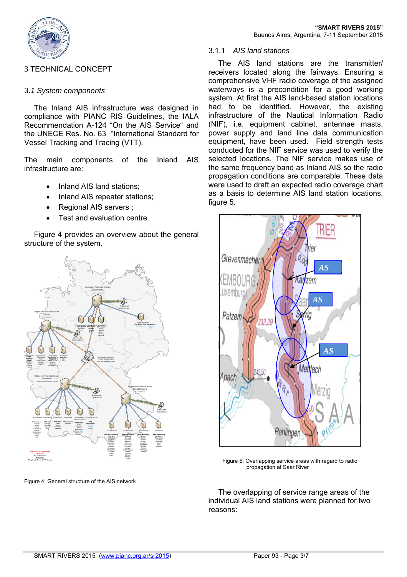

# 3 TECHNICAL CONCEPT

# 3.*1 System components*

The Inland AIS infrastructure was designed in compliance with PIANC RIS Guidelines, the IALA Recommendation A-124 "On the AIS Service" and the UNECE Res. No. 63 "International Standard for Vessel Tracking and Tracing (VTT).

The main components of the Inland AIS infrastructure are:

- Inland AIS land stations;
- Inland AIS repeater stations;
- Regional AIS servers ;
- Test and evaluation centre.

Figure 4 provides an overview about the general structure of the system.



Figure 4: General structure of the AIS network

## 3.1.1 *AIS land stations*

The AIS land stations are the transmitter/ receivers located along the fairways. Ensuring a comprehensive VHF radio coverage of the assigned waterways is a precondition for a good working system. At first the AIS land-based station locations had to be identified. However, the existing infrastructure of the Nautical Information Radio (NIF), i.e. equipment cabinet, antennae masts, power supply and land line data communication equipment, have been used. Field strength tests conducted for the NIF service was used to verify the selected locations. The NIF service makes use of the same frequency band as Inland AIS so the radio propagation conditions are comparable. These data were used to draft an expected radio coverage chart as a basis to determine AIS land station locations, figure 5.



 Figure 5: Overlapping service areas with regard to radio propagation at Saar River

The overlapping of service range areas of the individual AIS land stations were planned for two reasons: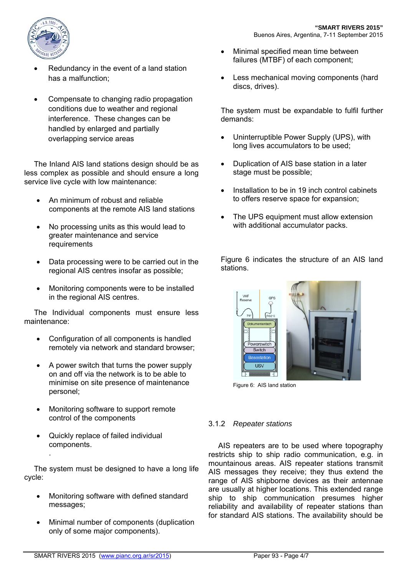

- Redundancy in the event of a land station has a malfunction;
- Compensate to changing radio propagation conditions due to weather and regional interference. These changes can be handled by enlarged and partially overlapping service areas

The Inland AIS land stations design should be as less complex as possible and should ensure a long service live cycle with low maintenance:

- An minimum of robust and reliable components at the remote AIS land stations
- No processing units as this would lead to greater maintenance and service requirements
- Data processing were to be carried out in the regional AIS centres insofar as possible;
- Monitoring components were to be installed in the regional AIS centres.

The Individual components must ensure less maintenance:

- Configuration of all components is handled remotely via network and standard browser;
- A power switch that turns the power supply on and off via the network is to be able to minimise on site presence of maintenance personel;
- Monitoring software to support remote control of the components
- Quickly replace of failed individual components.

.

The system must be designed to have a long life cycle:

- Monitoring software with defined standard messages;
- Minimal number of components (duplication only of some major components).
- Minimal specified mean time between failures (MTBF) of each component;
- Less mechanical moving components (hard discs, drives).

The system must be expandable to fulfil further demands:

- Uninterruptible Power Supply (UPS), with long lives accumulators to be used;
- Duplication of AIS base station in a later stage must be possible;
- Installation to be in 19 inch control cabinets to offers reserve space for expansion;
- The UPS equipment must allow extension with additional accumulator packs.

Figure 6 indicates the structure of an AIS land stations.



Figure 6: AIS land station

# 3.1.2 *Repeater stations*

AIS repeaters are to be used where topography restricts ship to ship radio communication, e.g. in mountainous areas. AIS repeater stations transmit AIS messages they receive; they thus extend the range of AIS shipborne devices as their antennae are usually at higher locations. This extended range ship to ship communication presumes higher reliability and availability of repeater stations than for standard AIS stations. The availability should be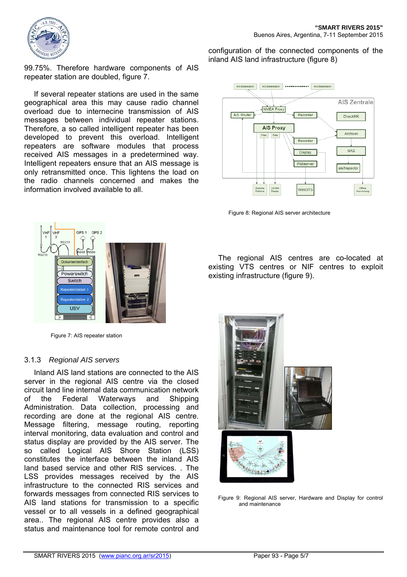

99.75%. Therefore hardware components of AIS repeater station are doubled, figure 7.

If several repeater stations are used in the same geographical area this may cause radio channel overload due to internecine transmission of AIS messages between individual repeater stations. Therefore, a so called intelligent repeater has been developed to prevent this overload. Intelligent repeaters are software modules that process received AIS messages in a predetermined way. Intelligent repeaters ensure that an AIS message is only retransmitted once. This lightens the load on the radio channels concerned and makes the information involved available to all.

configuration of the connected components of the inland AIS land infrastructure (figure 8)



Figure 8: Regional AIS server architecture



Figure 7: AIS repeater station

#### 3.1.3 *Regional AIS servers*

Inland AIS land stations are connected to the AIS server in the regional AIS centre via the closed circuit land line internal data communication network of the Federal Waterways and Shipping Administration. Data collection, processing and recording are done at the regional AIS centre. Message filtering, message routing, reporting interval monitoring, data evaluation and control and status display are provided by the AIS server. The so called Logical AIS Shore Station (LSS) constitutes the interface between the inland AIS land based service and other RIS services. . The LSS provides messages received by the AIS infrastructure to the connected RIS services and forwards messages from connected RIS services to AIS land stations for transmission to a specific vessel or to all vessels in a defined geographical area.. The regional AIS centre provides also a status and maintenance tool for remote control and

The regional AIS centres are co-located at existing VTS centres or NIF centres to exploit existing infrastructure (figure 9).



Figure 9: Regional AIS server, Hardware and Display for control and maintenance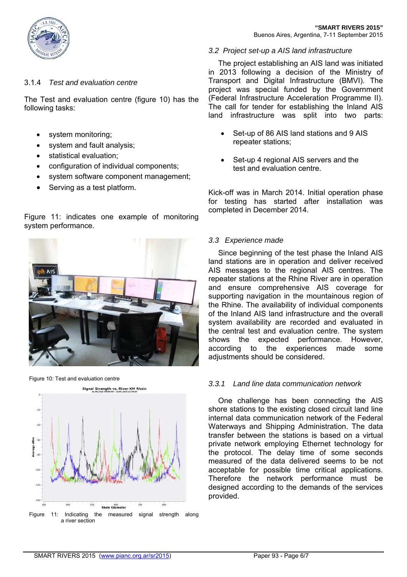

#### 3.1.4 *Test and evaluation centre*

The Test and evaluation centre (figure 10) has the following tasks:

- system monitoring;
- system and fault analysis;
- statistical evaluation;
- configuration of individual components;
- system software component management;

Figure 11: indicates one example of monitoring

Serving as a test platform.



Figure 10: Test and evaluation centre



#### *3.2 Project set-up a AIS land infrastructure*

The project establishing an AIS land was initiated in 2013 following a decision of the Ministry of Transport and Digital Infrastructure (BMVI). The project was special funded by the Government (Federal Infrastructure Acceleration Programme II). The call for tender for establishing the Inland AIS land infrastructure was split into two parts:

- Set-up of 86 AIS land stations and 9 AIS repeater stations;
- Set-up 4 regional AIS servers and the test and evaluation centre.

Kick-off was in March 2014. Initial operation phase for testing has started after installation was completed in December 2014.

#### *3.3 Experience made*

Since beginning of the test phase the Inland AIS land stations are in operation and deliver received AIS messages to the regional AIS centres. The repeater stations at the Rhine River are in operation and ensure comprehensive AIS coverage for supporting navigation in the mountainous region of the Rhine. The availability of individual components of the Inland AIS land infrastructure and the overall system availability are recorded and evaluated in the central test and evaluation centre. The system shows the expected performance. However, according to the experiences made some adjustments should be considered.

#### *3.3.1 Land line data communication network*

One challenge has been connecting the AIS shore stations to the existing closed circuit land line internal data communication network of the Federal Waterways and Shipping Administration. The data transfer between the stations is based on a virtual private network employing Ethernet technology for the protocol. The delay time of some seconds measured of the data delivered seems to be not acceptable for possible time critical applications. Therefore the network performance must be designed according to the demands of the services provided.